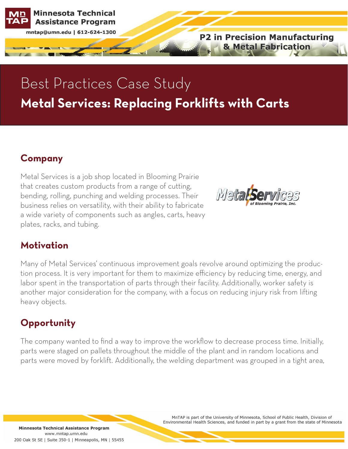**Minnesota Technical Assistance Program** 

mntap@umn.edu | 612-624-1300

**P2 in Precision Manufacturing & Metal Fabrication** 

# Best Practices Case Study **Metal Services: Replacing Forklifts with Carts**

### **Company**

Metal Services is a job shop located in Blooming Prairie that creates custom products from a range of cutting, bending, rolling, punching and welding processes. Their business relies on versatility, with their ability to fabricate a wide variety of components such as angles, carts, heavy plates, racks, and tubing.



#### **Motivation**

Many of Metal Services' continuous improvement goals revolve around optimizing the production process. It is very important for them to maximize efficiency by reducing time, energy, and labor spent in the transportation of parts through their facility. Additionally, worker safety is another major consideration for the company, with a focus on reducing injury risk from lifting heavy objects.

### **Opportunity**

The company wanted to find a way to improve the workflow to decrease process time. Initially, parts were staged on pallets throughout the middle of the plant and in random locations and parts were moved by forklift. Additionally, the welding department was grouped in a tight area,

> MnTAP is part of the University of Minnesota, School of Public Health, Division of Environmental Health Sciences, and funded in part by a grant from the state of Minnesota

Minnesota Technical Assistance Program www.mntap.umn.edu 200 Oak St SE | Suite 350-1 | Minneapolis, MN | 55455